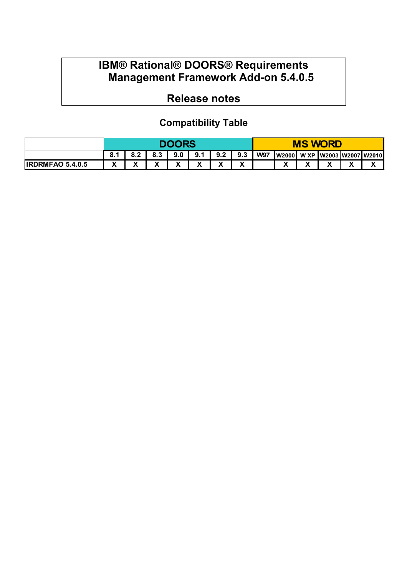## **IBM® Rational® DOORS® Requirements Management Framework Add-on 5.4.0.5**

# **Release notes**

## **Compatibility Table**

|                         | <b>DOORS</b> |     |   |              |        |                   | <b>MS WORD</b> |            |                               |   |   |  |                   |
|-------------------------|--------------|-----|---|--------------|--------|-------------------|----------------|------------|-------------------------------|---|---|--|-------------------|
|                         | 8.1          | 0.Z |   | 9.0          | 9.1    | 9.2               | 9.3            | <b>W97</b> | W2000  W XP W2003 W2007 W2010 |   |   |  |                   |
| <b>IRDRMFAO 5.4.0.5</b> | v<br>,,      |     | ́ | $\mathbf{v}$ | v<br>Λ | $\checkmark$<br>Λ | v<br>Λ         |            | v<br>Λ                        | ́ | v |  | $\mathbf{v}$<br>Λ |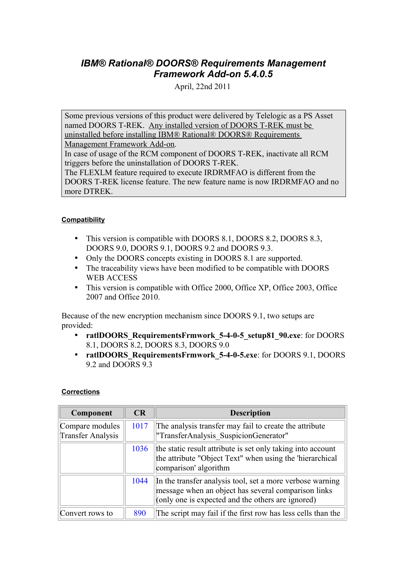### *IBM® Rational® DOORS® Requirements Management Framework Add-on 5.4.0.5*

April, 22nd 2011

Some previous versions of this product were delivered by Telelogic as a PS Asset named DOORS T-REK. Any installed version of DOORS T-REK must be uninstalled before installing IBM® Rational® DOORS® Requirements

Management Framework Add-on.

In case of usage of the RCM component of DOORS T-REK, inactivate all RCM triggers before the uninstallation of DOORS T-REK.

The FLEXLM feature required to execute IRDRMFAO is different from the DOORS T-REK license feature. The new feature name is now IRDRMFAO and no more DTREK.

### **Compatibility**

- This version is compatible with DOORS 8.1, DOORS 8.2, DOORS 8.3, DOORS 9.0, DOORS 9.1, DOORS 9.2 and DOORS 9.3.
- Only the DOORS concepts existing in DOORS 8.1 are supported.
- The traceability views have been modified to be compatible with DOORS WEB ACCESS
- This version is compatible with Office 2000, Office XP, Office 2003, Office 2007 and Office 2010.

Because of the new encryption mechanism since DOORS 9.1, two setups are provided:

- **ratlDOORS** RequirementsFrmwork 5-4-0-5 setup81 90.exe: for DOORS 8.1, DOORS 8.2, DOORS 8.3, DOORS 9.0
- **ratlDOORS\_RequirementsFrmwork\_5-4-0-5.exe**: for DOORS 9.1, DOORS 9.2 and DOORS 9.3

### **Corrections**

| Component                                   | CR   | <b>Description</b>                                                                                                                                                    |
|---------------------------------------------|------|-----------------------------------------------------------------------------------------------------------------------------------------------------------------------|
| Compare modules<br><b>Transfer Analysis</b> | 1017 | The analysis transfer may fail to create the attribute<br>"TransferAnalysis SuspicionGenerator"                                                                       |
|                                             | 1036 | the static result attribute is set only taking into account<br>the attribute "Object Text" when using the 'hierarchical<br>comparison' algorithm                      |
|                                             | 1044 | In the transfer analysis tool, set a more verbose warning<br>message when an object has several comparison links<br>(only one is expected and the others are ignored) |
| Convert rows to                             | 890  | The script may fail if the first row has less cells than the                                                                                                          |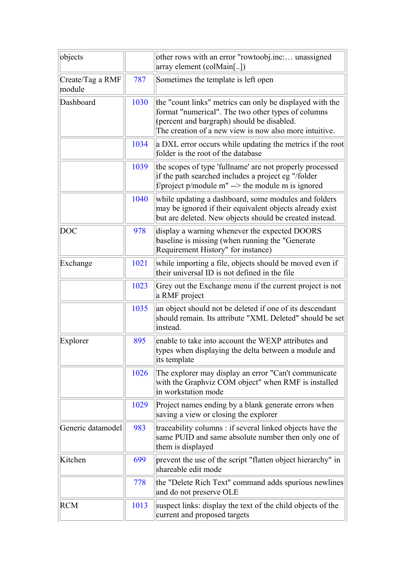| objects                    |      | other rows with an error "rowtoobj.inc: unassigned<br>array element (colMain[])                                                                                                                                        |
|----------------------------|------|------------------------------------------------------------------------------------------------------------------------------------------------------------------------------------------------------------------------|
| Create/Tag a RMF<br>module | 787  | Sometimes the template is left open                                                                                                                                                                                    |
| Dashboard                  | 1030 | the "count links" metrics can only be displayed with the<br>format "numerical". The two other types of columns<br>(percent and bargraph) should be disabled.<br>The creation of a new view is now also more intuitive. |
|                            | 1034 | a DXL error occurs while updating the metrics if the root<br>folder is the root of the database                                                                                                                        |
|                            | 1039 | the scopes of type 'fullname' are not properly processed<br>if the path searched includes a project eg "/folder<br>f/project p/module m" --> the module m is ignored                                                   |
|                            | 1040 | while updating a dashboard, some modules and folders<br>may be ignored if their equivalent objects already exist<br>but are deleted. New objects should be created instead.                                            |
| <b>DOC</b>                 | 978  | display a warning whenever the expected DOORS<br>baseline is missing (when running the "Generate"<br>Requirement History" for instance)                                                                                |
| Exchange                   | 1021 | while importing a file, objects should be moved even if<br>their universal ID is not defined in the file                                                                                                               |
|                            | 1023 | Grey out the Exchange menu if the current project is not<br>a RMF project                                                                                                                                              |
|                            | 1035 | an object should not be deleted if one of its descendant<br>should remain. Its attribute "XML Deleted" should be set<br>instead.                                                                                       |
| Explorer                   | 895  | enable to take into account the WEXP attributes and<br>types when displaying the delta between a module and<br>its template                                                                                            |
|                            | 1026 | The explorer may display an error "Can't communicate"<br>with the Graphviz COM object" when RMF is installed<br>in workstation mode                                                                                    |
|                            | 1029 | Project names ending by a blank generate errors when<br>saving a view or closing the explorer                                                                                                                          |
| Generic datamodel          | 983  | traceability columns: if several linked objects have the<br>same PUID and same absolute number then only one of<br>them is displayed                                                                                   |
| Kitchen                    | 699  | prevent the use of the script "flatten object hierarchy" in<br>shareable edit mode                                                                                                                                     |
|                            | 778  | the "Delete Rich Text" command adds spurious newlines<br>and do not preserve OLE                                                                                                                                       |
| <b>RCM</b>                 | 1013 | suspect links: display the text of the child objects of the<br>current and proposed targets                                                                                                                            |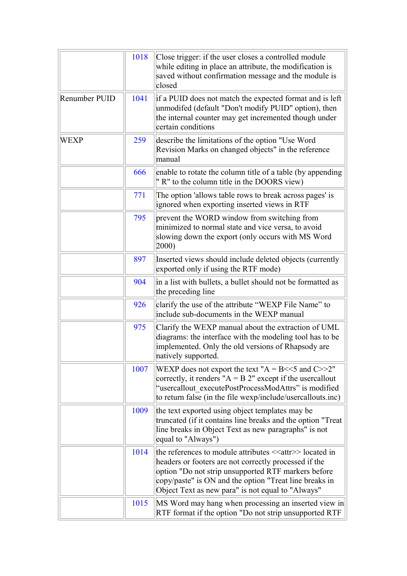|                      | 1018 | Close trigger: if the user closes a controlled module<br>while editing in place an attribute, the modification is<br>saved without confirmation message and the module is<br>closed                                                                                                                  |
|----------------------|------|------------------------------------------------------------------------------------------------------------------------------------------------------------------------------------------------------------------------------------------------------------------------------------------------------|
| <b>Renumber PUID</b> | 1041 | if a PUID does not match the expected format and is left<br>unmodifed (default "Don't modify PUID" option), then<br>the internal counter may get incremented though under<br>certain conditions                                                                                                      |
| WEXP                 | 259  | describe the limitations of the option "Use Word"<br>Revision Marks on changed objects" in the reference<br>manual                                                                                                                                                                                   |
|                      | 666  | enable to rotate the column title of a table (by appending<br>" R" to the column title in the DOORS view)                                                                                                                                                                                            |
|                      | 771  | The option 'allows table rows to break across pages' is<br>ignored when exporting inserted views in RTF                                                                                                                                                                                              |
|                      | 795  | prevent the WORD window from switching from<br>minimized to normal state and vice versa, to avoid<br>slowing down the export (only occurs with MS Word<br>(2000)                                                                                                                                     |
|                      | 897  | Inserted views should include deleted objects (currently<br>exported only if using the RTF mode)                                                                                                                                                                                                     |
|                      | 904  | in a list with bullets, a bullet should not be formatted as<br>the preceding line                                                                                                                                                                                                                    |
|                      | 926  | clarify the use of the attribute "WEXP File Name" to<br>include sub-documents in the WEXP manual                                                                                                                                                                                                     |
|                      | 975  | Clarify the WEXP manual about the extraction of UML<br>diagrams: the interface with the modeling tool has to be<br>implemented. Only the old versions of Rhapsody are<br>natively supported                                                                                                          |
|                      | 1007 | WEXP does not export the text " $A = B \ll 5$ and $C >> 2$ "<br>correctly, it renders " $A = B 2$ " except if the usercallout<br>"usercallout executePostProcessModAttrs" is modified<br>to return false (in the file wexp/include/usercallouts.inc)                                                 |
|                      | 1009 | the text exported using object templates may be<br>truncated (if it contains line breaks and the option "Treat"<br>line breaks in Object Text as new paragraphs" is not<br>equal to "Always")                                                                                                        |
|                      | 1014 | the references to module attributes < <attr>&gt;located in<br/>headers or footers are not correctly processed if the<br/>option "Do not strip unsupported RTF markers before<br/>copy/paste" is ON and the option "Treat line breaks in<br/>Object Text as new para" is not equal to "Always"</attr> |
|                      | 1015 | MS Word may hang when processing an inserted view in<br>RTF format if the option "Do not strip unsupported RTF                                                                                                                                                                                       |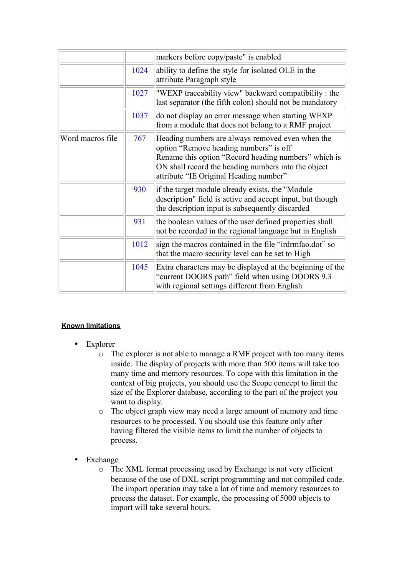|                  |      | markers before copy/paste" is enabled                                                                                                                                                                                                               |
|------------------|------|-----------------------------------------------------------------------------------------------------------------------------------------------------------------------------------------------------------------------------------------------------|
|                  | 1024 | ability to define the style for isolated OLE in the<br>attribute Paragraph style                                                                                                                                                                    |
|                  | 1027 | "WEXP traceability view" backward compatibility : the<br>last separator (the fifth colon) should not be mandatory                                                                                                                                   |
|                  | 1037 | do not display an error message when starting WEXP<br>from a module that does not belong to a RMF project                                                                                                                                           |
| Word macros file | 767  | Heading numbers are always removed even when the<br>option "Remove heading numbers" is off<br>Rename this option "Record heading numbers" which is<br>ON shall record the heading numbers into the object<br>attribute "IE Original Heading number" |
|                  | 930  | if the target module already exists, the "Module"<br>description" field is active and accept input, but though<br>the description input is subsequently discarded                                                                                   |
|                  | 931  | the boolean values of the user defined properties shall<br>not be recorded in the regional language but in English                                                                                                                                  |
|                  | 1012 | sign the macros contained in the file "irdrmfao.dot" so<br>that the macro security level can be set to High                                                                                                                                         |
|                  | 1045 | Extra characters may be displayed at the beginning of the<br>"current DOORS path" field when using DOORS 9.3<br>with regional settings different from English                                                                                       |

### **Known limitations**

- Explorer
	- o The explorer is not able to manage a RMF project with too many items inside. The display of projects with more than 500 items will take too many time and memory resources. To cope with this limitation in the context of big projects, you should use the Scope concept to limit the size of the Explorer database, according to the part of the project you want to display.
	- o The object graph view may need a large amount of memory and time resources to be processed. You should use this feature only after having filtered the visible items to limit the number of objects to process.
- **Exchange** 
	- o The XML format processing used by Exchange is not very efficient because of the use of DXL script programming and not compiled code. The import operation may take a lot of time and memory resources to process the dataset. For example, the processing of 5000 objects to import will take several hours.